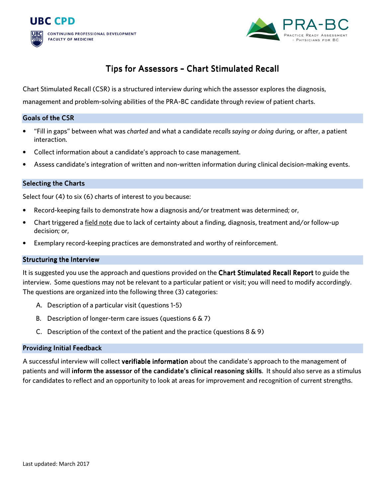



# Tips for Assessors - Chart Stimulated Recall

Chart Stimulated Recall (CSR) is a structured interview during which the assessor explores the diagnosis,

management and problem-solving abilities of the PRA-BC candidate through review of patient charts.

## Goals of the CSR

- "Fill in gaps" between what was *charted* and what a candidate *recalls saying or doing* during, or after, a patient interaction.
- Collect information about a candidate's approach to case management.
- Assess candidate's integration of written and non-written information during clinical decision-making events.

## **Selecting the Charts**

Select four (4) to six (6) charts of interest to you because:

- Record-keeping fails to demonstrate how a diagnosis and/or treatment was determined; or,
- Chart triggered a field note due to lack of certainty about a finding, diagnosis, treatment and/or follow-up decision; or,
- Exemplary record-keeping practices are demonstrated and worthy of reinforcement.

## **Structuring the Interview**

It is suggested you use the approach and questions provided on the Chart Stimulated Recall Report to guide the interview. Some questions may not be relevant to a particular patient or visit; you will need to modify accordingly. The questions are organized into the following three (3) categories:

- A. Description of a particular visit (questions 1-5)
- B. Description of longer-term care issues (questions 6 & 7)
- C. Description of the context of the patient and the practice (questions  $8 \& 9$ )

#### **Providing Initial Feedback**

A successful interview will collect verifiable information about the candidate's approach to the management of patients and will inform the assessor of the candidate's clinical reasoning skills. It should also serve as a stimulus for candidates to reflect and an opportunity to look at areas for improvement and recognition of current strengths.